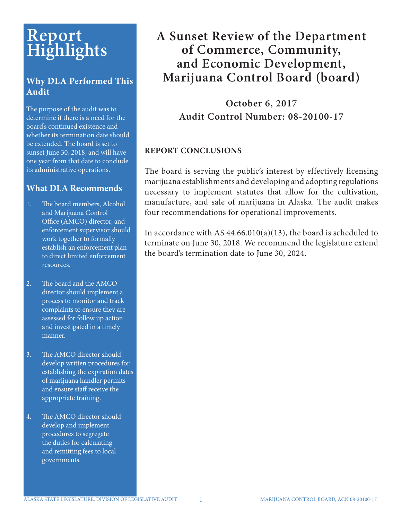# **Report**

### **Why DLA Performed This Audit**

The purpose of the audit was to determine if there is a need for the board's continued existence and whether its termination date should be extended. The board is set to sunset June 30, 2018, and will have one year from that date to conclude its administrative operations.

### **What DLA Recommends**

- 1. The board members, Alcohol and Marijuana Control Office (AMCO) director, and enforcement supervisor should work together to formally establish an enforcement plan to direct limited enforcement resources.
- 2. The board and the AMCO director should implement a process to monitor and track complaints to ensure they are assessed for follow up action and investigated in a timely manner.
- 3. The AMCO director should develop written procedures for establishing the expiration dates of marijuana handler permits and ensure staff receive the appropriate training.
- 4. The AMCO director should develop and implement procedures to segregate the duties for calculating and remitting fees to local governments.

### **Highlights A Sunset Review of the Department of Commerce, Community, and Economic Development, Marijuana Control Board (board)**

**October 6, 2017 Audit Control Number: 08-20100-17**

### **REPORT CONCLUSIONS**

The board is serving the public's interest by effectively licensing marijuana establishments and developing and adopting regulations necessary to implement statutes that allow for the cultivation, manufacture, and sale of marijuana in Alaska. The audit makes four recommendations for operational improvements.

In accordance with AS 44.66.010(a)(13), the board is scheduled to terminate on June 30, 2018. We recommend the legislature extend the board's termination date to June 30, 2024.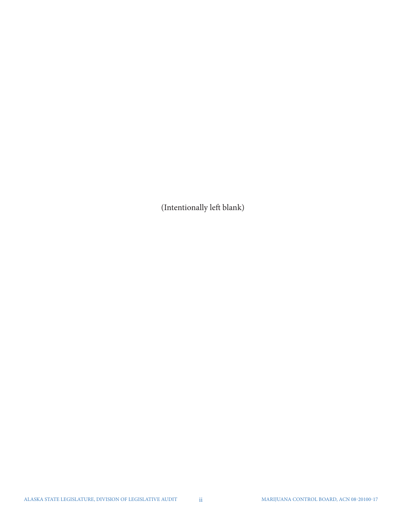(Intentionally left blank)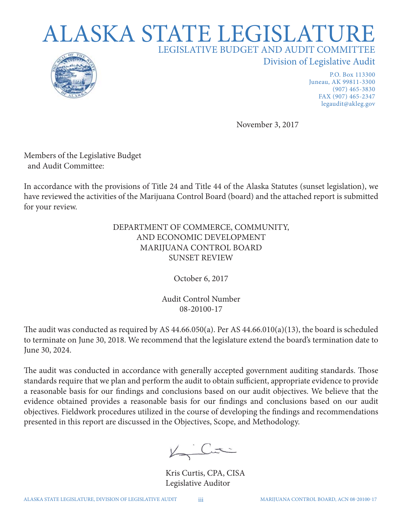



#### Division of Legislative Audit

P.O. Box 113300 Juneau, AK 99811-3300 (907) 465-3830 FAX (907) 465-2347 legaudit@akleg.gov

November 3, 2017

Members of the Legislative Budget and Audit Committee:

In accordance with the provisions of Title 24 and Title 44 of the Alaska Statutes (sunset legislation), we have reviewed the activities of the Marijuana Control Board (board) and the attached report is submitted for your review.

#### DEPARTMENT OF COMMERCE, COMMUNITY, AND ECONOMIC DEVELOPMENT MARIJUANA CONTROL BOARD SUNSET REVIEW

October 6, 2017

Audit Control Number 08-20100-17

The audit was conducted as required by AS  $44.66.050(a)$ . Per AS  $44.66.010(a)(13)$ , the board is scheduled to terminate on June 30, 2018. We recommend that the legislature extend the board's termination date to June 30, 2024.

The audit was conducted in accordance with generally accepted government auditing standards. Those standards require that we plan and perform the audit to obtain sufficient, appropriate evidence to provide a reasonable basis for our findings and conclusions based on our audit objectives. We believe that the evidence obtained provides a reasonable basis for our findings and conclusions based on our audit objectives. Fieldwork procedures utilized in the course of developing the findings and recommendations presented in this report are discussed in the Objectives, Scope, and Methodology.

KCiti

 Kris Curtis, CPA, CISA Legislative Auditor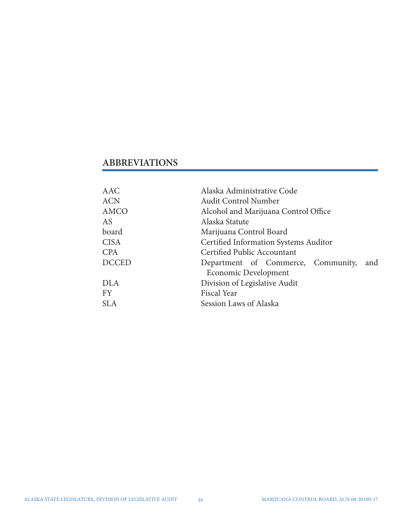### **ABBREVIATIONS**

| AAC          | Alaska Administrative Code                |  |  |
|--------------|-------------------------------------------|--|--|
| <b>ACN</b>   | <b>Audit Control Number</b>               |  |  |
| <b>AMCO</b>  | Alcohol and Marijuana Control Office      |  |  |
| AS           | Alaska Statute                            |  |  |
| board        | Marijuana Control Board                   |  |  |
| <b>CISA</b>  | Certified Information Systems Auditor     |  |  |
| <b>CPA</b>   | Certified Public Accountant               |  |  |
| <b>DCCED</b> | Department of Commerce, Community,<br>and |  |  |
|              | Economic Development                      |  |  |
| DLA          | Division of Legislative Audit             |  |  |
| <b>FY</b>    | Fiscal Year                               |  |  |
| <b>SLA</b>   | Session Laws of Alaska                    |  |  |
|              |                                           |  |  |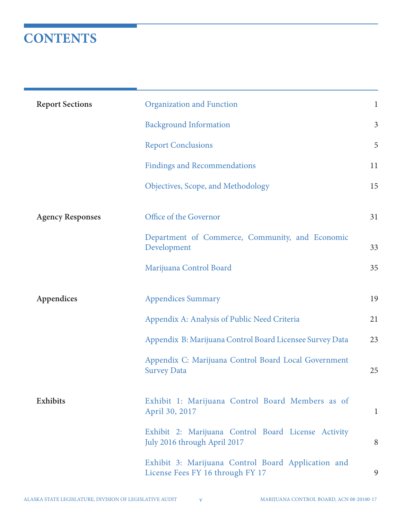### **CONTENTS**

| <b>Report Sections</b>  | <b>Organization and Function</b>                                                       | $\mathbf{1}$   |
|-------------------------|----------------------------------------------------------------------------------------|----------------|
|                         | <b>Background Information</b>                                                          | $\mathfrak{Z}$ |
|                         | <b>Report Conclusions</b>                                                              | 5              |
|                         | <b>Findings and Recommendations</b>                                                    | 11             |
|                         | Objectives, Scope, and Methodology                                                     | 15             |
| <b>Agency Responses</b> | Office of the Governor                                                                 | 31             |
|                         | Department of Commerce, Community, and Economic<br>Development                         | 33             |
|                         | Marijuana Control Board                                                                | 35             |
| Appendices              | <b>Appendices Summary</b>                                                              | 19             |
|                         | Appendix A: Analysis of Public Need Criteria                                           | 21             |
|                         | Appendix B: Marijuana Control Board Licensee Survey Data                               | 23             |
|                         | Appendix C: Marijuana Control Board Local Government<br><b>Survey Data</b>             | 25             |
| Exhibits                | Exhibit 1: Marijuana Control Board Members as of<br>April 30, 2017                     | $\mathbf{1}$   |
|                         | Exhibit 2: Marijuana Control Board License Activity<br>July 2016 through April 2017    | 8              |
|                         | Exhibit 3: Marijuana Control Board Application and<br>License Fees FY 16 through FY 17 | 9              |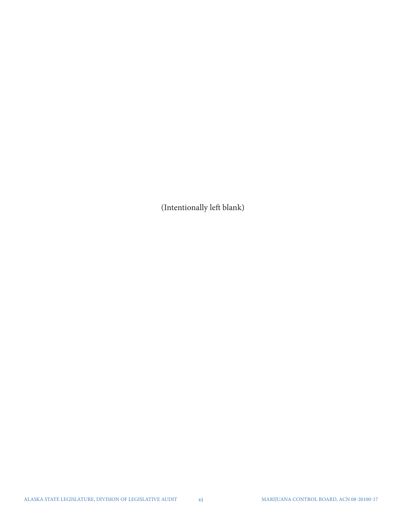(Intentionally left blank)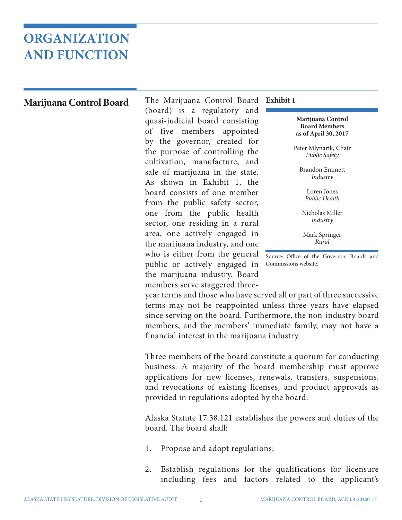### <span id="page-6-0"></span>**ORGANIZATION AND FUNCTION**

| Marijuana Control Board |  |  |
|-------------------------|--|--|
|-------------------------|--|--|

**Marijuana Control Board** The Marijuana Control Board **Exhibit 1**(board) is a regulatory and quasi-judicial board consisting of five members appointed by the governor, created for the purpose of controlling the cultivation, manufacture, and sale of marijuana in the state. As shown in Exhibit 1, the board consists of one member from the public safety sector, one from the public health sector, one residing in a rural area, one actively engaged in the marijuana industry, and one who is either from the general public or actively engaged in the marijuana industry. Board members serve staggered three-

**Marijuana Control Board Members as of April 30, 2017**

Peter Mlynarik, Chair *Public Safety*

> Brandon Emmett *Industry*

> > Loren Jones *Public Health*

Nicholas Miller *Industry*

Mark Springer *Rural*

Source: Office of the Governor, Boards and Commissions website.

year terms and those who have served all or part of three successive terms may not be reappointed unless three years have elapsed since serving on the board. Furthermore, the non-industry board members, and the members' immediate family, may not have a financial interest in the marijuana industry.

Three members of the board constitute a quorum for conducting business. A majority of the board membership must approve applications for new licenses, renewals, transfers, suspensions, and revocations of existing licenses, and product approvals as provided in regulations adopted by the board.

Alaska Statute 17.38.121 establishes the powers and duties of the board. The board shall:

- 1. Propose and adopt regulations;
- 2. Establish regulations for the qualifications for licensure including fees and factors related to the applicant's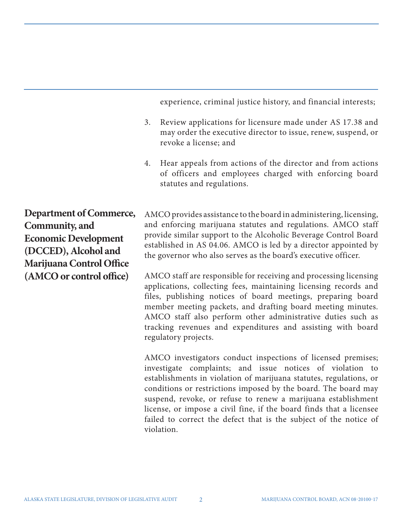experience, criminal justice history, and financial interests;

- 3. Review applications for licensure made under AS 17.38 and may order the executive director to issue, renew, suspend, or revoke a license; and
- 4. Hear appeals from actions of the director and from actions of officers and employees charged with enforcing board statutes and regulations.

**Department of Commerce, Community, and Economic Development (DCCED), Alcohol and Marijuana Control Office (AMCO or control office)** 

AMCO provides assistance to the board in administering, licensing, and enforcing marijuana statutes and regulations. AMCO staff provide similar support to the Alcoholic Beverage Control Board established in AS 04.06. AMCO is led by a director appointed by the governor who also serves as the board's executive officer.

AMCO staff are responsible for receiving and processing licensing applications, collecting fees, maintaining licensing records and files, publishing notices of board meetings, preparing board member meeting packets, and drafting board meeting minutes. AMCO staff also perform other administrative duties such as tracking revenues and expenditures and assisting with board regulatory projects.

AMCO investigators conduct inspections of licensed premises; investigate complaints; and issue notices of violation to establishments in violation of marijuana statutes, regulations, or conditions or restrictions imposed by the board. The board may suspend, revoke, or refuse to renew a marijuana establishment license, or impose a civil fine, if the board finds that a licensee failed to correct the defect that is the subject of the notice of violation.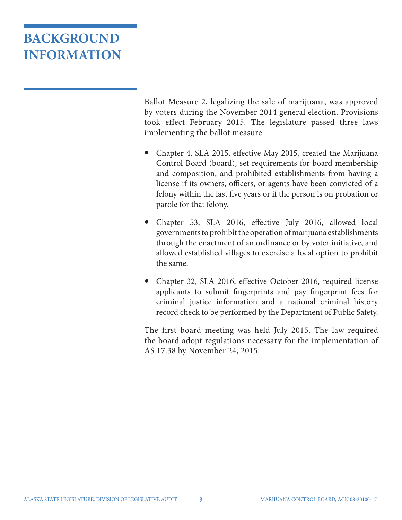# <span id="page-8-0"></span>**BACKGROUND INFORMATION**

Ballot Measure 2, legalizing the sale of marijuana, was approved by voters during the November 2014 general election. Provisions took effect February 2015. The legislature passed three laws implementing the ballot measure:

- Chapter 4, SLA 2015, effective May 2015, created the Marijuana Control Board (board), set requirements for board membership and composition, and prohibited establishments from having a license if its owners, officers, or agents have been convicted of a felony within the last five years or if the person is on probation or parole for that felony.
- Chapter 53, SLA 2016, effective July 2016, allowed local governments to prohibit the operation of marijuana establishments through the enactment of an ordinance or by voter initiative, and allowed established villages to exercise a local option to prohibit the same.
- Chapter 32, SLA 2016, effective October 2016, required license applicants to submit fingerprints and pay fingerprint fees for criminal justice information and a national criminal history record check to be performed by the Department of Public Safety.

The first board meeting was held July 2015. The law required the board adopt regulations necessary for the implementation of AS 17.38 by November 24, 2015.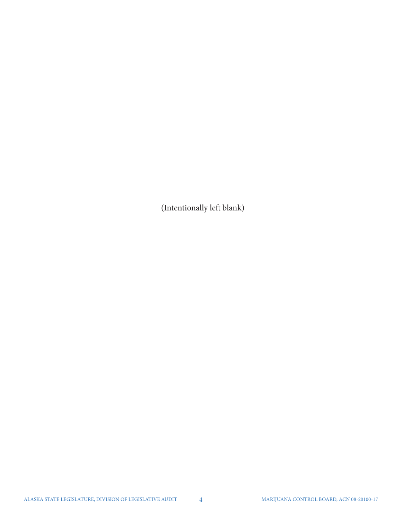(Intentionally left blank)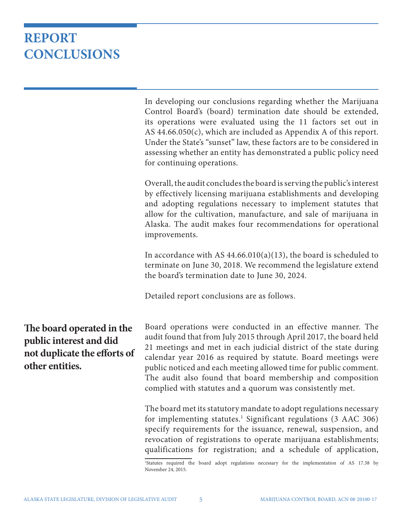# <span id="page-10-0"></span>**REPORT CONCLUSIONS**

In developing our conclusions regarding whether the Marijuana Control Board's (board) termination date should be extended, its operations were evaluated using the 11 factors set out in AS 44.66.050(c), which are included as Appendix A of this report. Under the State's "sunset" law, these factors are to be considered in assessing whether an entity has demonstrated a public policy need for continuing operations.

Overall, the audit concludes the board is serving the public's interest by effectively licensing marijuana establishments and developing and adopting regulations necessary to implement statutes that allow for the cultivation, manufacture, and sale of marijuana in Alaska. The audit makes four recommendations for operational improvements.

In accordance with AS 44.66.010(a)(13), the board is scheduled to terminate on June 30, 2018. We recommend the legislature extend the board's termination date to June 30, 2024.

Detailed report conclusions are as follows.

Board operations were conducted in an effective manner. The audit found that from July 2015 through April 2017, the board held 21 meetings and met in each judicial district of the state during calendar year 2016 as required by statute. Board meetings were public noticed and each meeting allowed time for public comment. The audit also found that board membership and composition complied with statutes and a quorum was consistently met.

The board met its statutory mandate to adopt regulations necessary for implementing statutes.<sup>1</sup> Significant regulations (3 AAC 306) specify requirements for the issuance, renewal, suspension, and revocation of registrations to operate marijuana establishments; qualifications for registration; and a schedule of application,

1 Statutes required the board adopt regulations necessary for the implementation of AS 17.38 by November 24, 2015.

The board operated in the **public interest and did not duplicate the efforts of other entities.**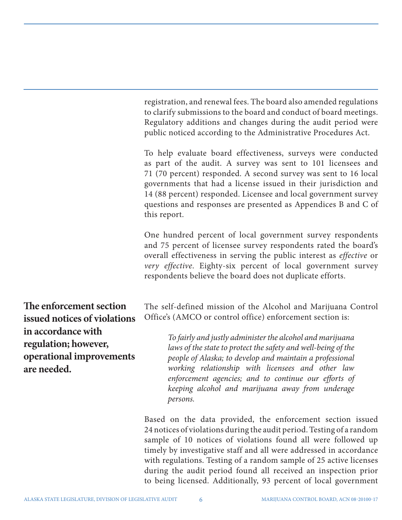registration, and renewal fees. The board also amended regulations to clarify submissions to the board and conduct of board meetings. Regulatory additions and changes during the audit period were public noticed according to the Administrative Procedures Act.

To help evaluate board effectiveness, surveys were conducted as part of the audit. A survey was sent to 101 licensees and 71 (70 percent) responded. A second survey was sent to 16 local governments that had a license issued in their jurisdiction and 14 (88 percent) responded. Licensee and local government survey questions and responses are presented as Appendices B and C of this report.

One hundred percent of local government survey respondents and 75 percent of licensee survey respondents rated the board's overall effectiveness in serving the public interest as *effective* or *very effective*. Eighty-six percent of local government survey respondents believe the board does not duplicate efforts.

The self-defined mission of the Alcohol and Marijuana Control Office's (AMCO or control office) enforcement section is:

> *To fairly and justly administer the alcohol and marijuana laws of the state to protect the safety and well-being of the people of Alaska; to develop and maintain a professional working relationship with licensees and other law*  enforcement agencies; and to continue our efforts of *keeping alcohol and marijuana away from underage persons.*

Based on the data provided, the enforcement section issued 24 notices of violations during the audit period. Testing of a random sample of 10 notices of violations found all were followed up timely by investigative staff and all were addressed in accordance with regulations. Testing of a random sample of 25 active licenses during the audit period found all received an inspection prior to being licensed. Additionally, 93 percent of local government

**The enforcement section issued notices of violations in accordance with regulation; however, operational improvements are needed.**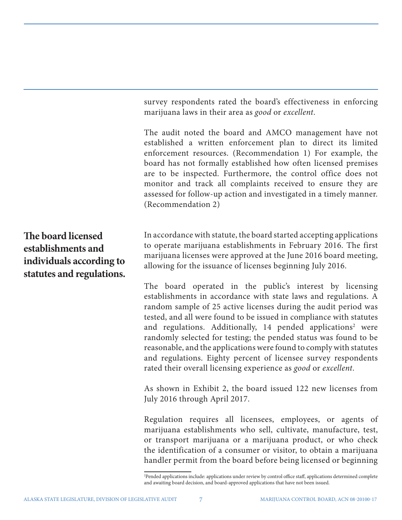survey respondents rated the board's effectiveness in enforcing marijuana laws in their area as *good* or *excellent*.

The audit noted the board and AMCO management have not established a written enforcement plan to direct its limited enforcement resources. (Recommendation 1) For example, the board has not formally established how often licensed premises are to be inspected. Furthermore, the control office does not monitor and track all complaints received to ensure they are assessed for follow-up action and investigated in a timely manner. (Recommendation 2)

In accordance with statute, the board started accepting applications to operate marijuana establishments in February 2016. The first marijuana licenses were approved at the June 2016 board meeting, allowing for the issuance of licenses beginning July 2016.

The board operated in the public's interest by licensing establishments in accordance with state laws and regulations. A random sample of 25 active licenses during the audit period was tested, and all were found to be issued in compliance with statutes and regulations. Additionally, 14 pended applications<sup>2</sup> were randomly selected for testing; the pended status was found to be reasonable, and the applications were found to comply with statutes and regulations. Eighty percent of licensee survey respondents rated their overall licensing experience as *good* or *excellent*.

As shown in Exhibit 2, the board issued 122 new licenses from July 2016 through April 2017.

Regulation requires all licensees, employees, or agents of marijuana establishments who sell, cultivate, manufacture, test, or transport marijuana or a marijuana product, or who check the identification of a consumer or visitor, to obtain a marijuana handler permit from the board before being licensed or beginning

### **The board licensed establishments and individuals according to statutes and regulations.**

<sup>&</sup>lt;sup>2</sup>Pended applications include: applications under review by control office staff, applications determined complete and awaiting board decision, and board-approved applications that have not been issued.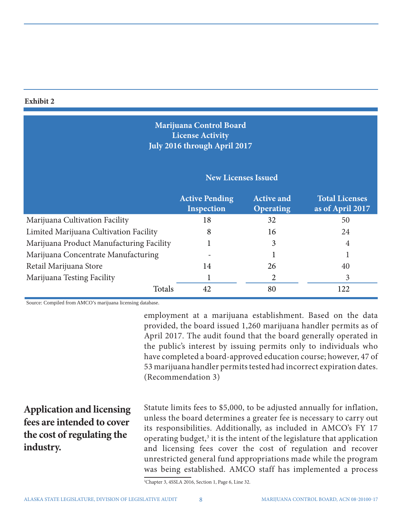#### <span id="page-13-0"></span>**Exhibit 2**

### **Marijuana Control Board License Activity July 2016 through April 2017 New Licenses Issued Total Licenses as of April 2017 Active Pending Inspection Active and Operating** Marijuana Cultivation Facility 18 32 50 Limited Marijuana Cultivation Facility  $\begin{array}{ccc} 8 & 16 & 24 \end{array}$ Marijuana Product Manufacturing Facility  $1$  3 3 4 4 Marijuana Concentrate Manufacturing - 1 1 Retail Marijuana Store 14 26 40 Marijuana Testing Facility 1 3

Source: Compiled from AMCO's marijuana licensing database.

employment at a marijuana establishment. Based on the data provided, the board issued 1,260 marijuana handler permits as of April 2017. The audit found that the board generally operated in the public's interest by issuing permits only to individuals who have completed a board-approved education course; however, 47 of 53 marijuana handler permits tested had incorrect expiration dates. (Recommendation 3)

Totals 42 80 122

### **Application and licensing fees are intended to cover the cost of regulating the industry.**

Statute limits fees to \$5,000, to be adjusted annually for inflation, unless the board determines a greater fee is necessary to carry out its responsibilities. Additionally, as included in AMCO's FY 17 operating budget,<sup>3</sup> it is the intent of the legislature that application and licensing fees cover the cost of regulation and recover unrestricted general fund appropriations made while the program was being established. AMCO staff has implemented a process

<sup>3</sup> Chapter 3, 4SSLA 2016, Section 1, Page 6, Line 32.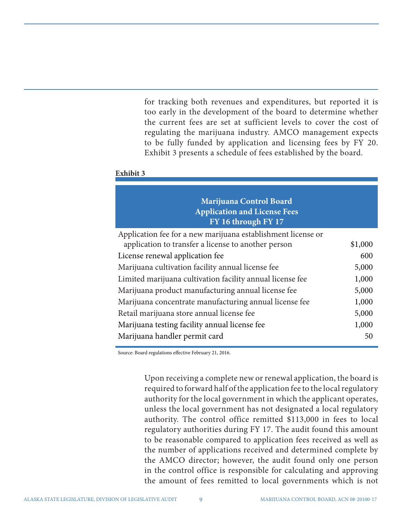<span id="page-14-0"></span>for tracking both revenues and expenditures, but reported it is too early in the development of the board to determine whether the current fees are set at sufficient levels to cover the cost of regulating the marijuana industry. AMCO management expects to be fully funded by application and licensing fees by FY 20. Exhibit 3 presents a schedule of fees established by the board.

#### **Exhibit 3**

| <b>Marijuana Control Board</b><br><b>Application and License Fees</b><br>FY 16 through FY 17 |         |
|----------------------------------------------------------------------------------------------|---------|
| Application fee for a new marijuana establishment license or                                 |         |
| application to transfer a license to another person                                          | \$1,000 |
| License renewal application fee                                                              | 600     |
| Marijuana cultivation facility annual license fee                                            | 5,000   |
| Limited marijuana cultivation facility annual license fee                                    | 1,000   |
| Marijuana product manufacturing annual license fee                                           | 5,000   |
| Marijuana concentrate manufacturing annual license fee                                       | 1,000   |
| Retail marijuana store annual license fee                                                    | 5,000   |
| Marijuana testing facility annual license fee                                                | 1,000   |
| Marijuana handler permit card                                                                | 50      |

Source: Board regulations effective February 21, 2016.

Upon receiving a complete new or renewal application, the board is required to forward half of the application fee to the local regulatory authority for the local government in which the applicant operates, unless the local government has not designated a local regulatory authority. The control office remitted \$113,000 in fees to local regulatory authorities during FY 17. The audit found this amount to be reasonable compared to application fees received as well as the number of applications received and determined complete by the AMCO director; however, the audit found only one person in the control office is responsible for calculating and approving the amount of fees remitted to local governments which is not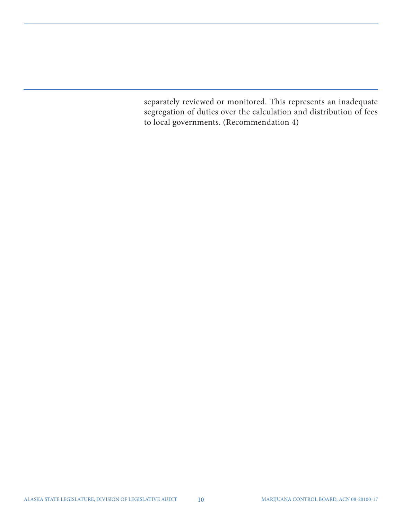separately reviewed or monitored. This represents an inadequate segregation of duties over the calculation and distribution of fees to local governments. (Recommendation 4)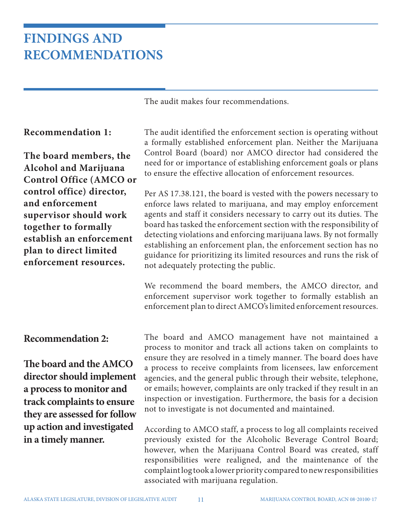### <span id="page-16-0"></span>**FINDINGS AND RECOMMENDATIONS**

**Recommendation 1:**

**The board members, the Alcohol and Marijuana Control Office (AMCO or control office) director, and enforcement supervisor should work together to formally establish an enforcement plan to direct limited enforcement resources.**

The audit makes four recommendations.

The audit identified the enforcement section is operating without a formally established enforcement plan. Neither the Marijuana Control Board (board) nor AMCO director had considered the need for or importance of establishing enforcement goals or plans to ensure the effective allocation of enforcement resources.

Per AS 17.38.121, the board is vested with the powers necessary to enforce laws related to marijuana, and may employ enforcement agents and staff it considers necessary to carry out its duties. The board has tasked the enforcement section with the responsibility of detecting violations and enforcing marijuana laws. By not formally establishing an enforcement plan, the enforcement section has no guidance for prioritizing its limited resources and runs the risk of not adequately protecting the public.

We recommend the board members, the AMCO director, and enforcement supervisor work together to formally establish an enforcement plan to direct AMCO's limited enforcement resources.

### **Recommendation 2:**

**The board and the AMCO director should implement a process to monitor and track complaints to ensure they are assessed for follow up action and investigated in a timely manner.**

The board and AMCO management have not maintained a process to monitor and track all actions taken on complaints to ensure they are resolved in a timely manner. The board does have a process to receive complaints from licensees, law enforcement agencies, and the general public through their website, telephone, or emails; however, complaints are only tracked if they result in an inspection or investigation. Furthermore, the basis for a decision not to investigate is not documented and maintained.

According to AMCO staff, a process to log all complaints received previously existed for the Alcoholic Beverage Control Board; however, when the Marijuana Control Board was created, staff responsibilities were realigned, and the maintenance of the complaint log took a lower priority compared to new responsibilities associated with marijuana regulation.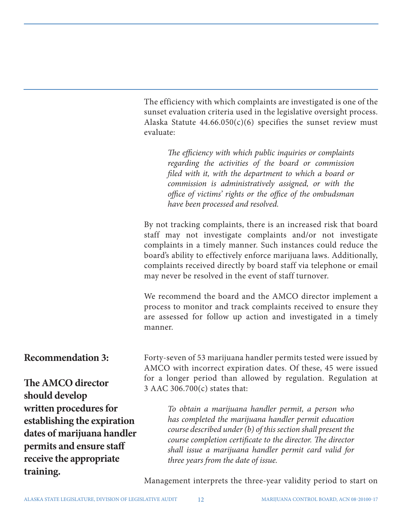The efficiency with which complaints are investigated is one of the sunset evaluation criteria used in the legislative oversight process. Alaska Statute  $44.66.050(c)(6)$  specifies the sunset review must evaluate:

*The efficiency with which public inquiries or complaints regarding the activities of the board or commission fi led with it, with the department to which a board or commission is administratively assigned, or with the office of victims' rights or the office of the ombudsman have been processed and resolved.*

By not tracking complaints, there is an increased risk that board staff may not investigate complaints and/or not investigate complaints in a timely manner. Such instances could reduce the board's ability to effectively enforce marijuana laws. Additionally, complaints received directly by board staff via telephone or email may never be resolved in the event of staff turnover.

We recommend the board and the AMCO director implement a process to monitor and track complaints received to ensure they are assessed for follow up action and investigated in a timely manner.

### **Recommendation 3:**

**The AMCO director should develop written procedures for establishing the expiration dates of marijuana handler permits and ensure staff receive the appropriate training.**

Forty-seven of 53 marijuana handler permits tested were issued by AMCO with incorrect expiration dates. Of these, 45 were issued for a longer period than allowed by regulation. Regulation at 3 AAC 306.700(c) states that:

*To obtain a marijuana handler permit, a person who has completed the marijuana handler permit education course described under (b) of this section shall present the course completion certificate to the director. The director shall issue a marijuana handler permit card valid for three years from the date of issue.*

Management interprets the three-year validity period to start on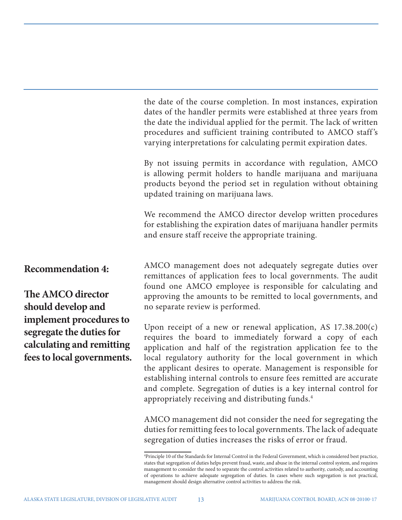the date of the course completion. In most instances, expiration dates of the handler permits were established at three years from the date the individual applied for the permit. The lack of written procedures and sufficient training contributed to AMCO staff 's varying interpretations for calculating permit expiration dates.

By not issuing permits in accordance with regulation, AMCO is allowing permit holders to handle marijuana and marijuana products beyond the period set in regulation without obtaining updated training on marijuana laws.

We recommend the AMCO director develop written procedures for establishing the expiration dates of marijuana handler permits and ensure staff receive the appropriate training.

### **Recommendation 4:**

**The AMCO director should develop and implement procedures to segregate the duties for calculating and remitting fees to local governments.** AMCO management does not adequately segregate duties over remittances of application fees to local governments. The audit found one AMCO employee is responsible for calculating and approving the amounts to be remitted to local governments, and no separate review is performed.

Upon receipt of a new or renewal application, AS  $17.38.200(c)$ requires the board to immediately forward a copy of each application and half of the registration application fee to the local regulatory authority for the local government in which the applicant desires to operate. Management is responsible for establishing internal controls to ensure fees remitted are accurate and complete. Segregation of duties is a key internal control for appropriately receiving and distributing funds.4

AMCO management did not consider the need for segregating the duties for remitting fees to local governments. The lack of adequate segregation of duties increases the risks of error or fraud.

<sup>4</sup> Principle 10 of the Standards for Internal Control in the Federal Government, which is considered best practice, states that segregation of duties helps prevent fraud, waste, and abuse in the internal control system, and requires management to consider the need to separate the control activities related to authority, custody, and accounting of operations to achieve adequate segregation of duties. In cases where such segregation is not practical, management should design alternative control activities to address the risk.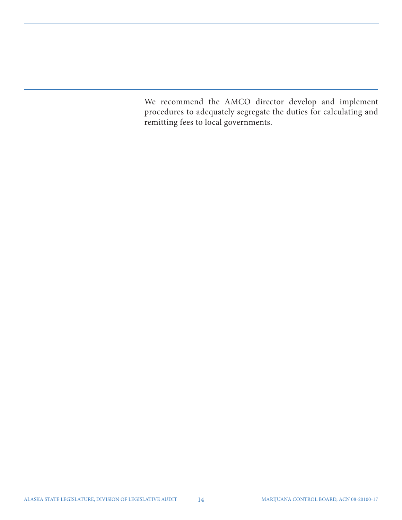We recommend the AMCO director develop and implement procedures to adequately segregate the duties for calculating and remitting fees to local governments.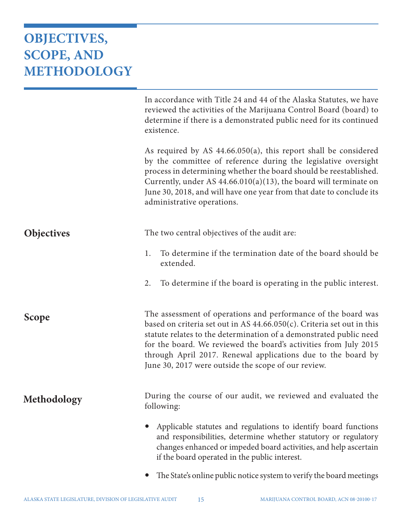# <span id="page-20-0"></span>**OBJECTIVES, SCOPE, AND METHODOLOGY**

|                    | In accordance with Title 24 and 44 of the Alaska Statutes, we have<br>reviewed the activities of the Marijuana Control Board (board) to<br>determine if there is a demonstrated public need for its continued<br>existence.                                                                                                                                                                                 |
|--------------------|-------------------------------------------------------------------------------------------------------------------------------------------------------------------------------------------------------------------------------------------------------------------------------------------------------------------------------------------------------------------------------------------------------------|
|                    | As required by AS 44.66.050(a), this report shall be considered<br>by the committee of reference during the legislative oversight<br>process in determining whether the board should be reestablished.<br>Currently, under AS $44.66.010(a)(13)$ , the board will terminate on<br>June 30, 2018, and will have one year from that date to conclude its<br>administrative operations.                        |
| <b>Objectives</b>  | The two central objectives of the audit are:                                                                                                                                                                                                                                                                                                                                                                |
|                    | To determine if the termination date of the board should be<br>1.<br>extended.                                                                                                                                                                                                                                                                                                                              |
|                    | To determine if the board is operating in the public interest.<br>2.                                                                                                                                                                                                                                                                                                                                        |
| <b>Scope</b>       | The assessment of operations and performance of the board was<br>based on criteria set out in AS $44.66.050(c)$ . Criteria set out in this<br>statute relates to the determination of a demonstrated public need<br>for the board. We reviewed the board's activities from July 2015<br>through April 2017. Renewal applications due to the board by<br>June 30, 2017 were outside the scope of our review. |
| <b>Methodology</b> | During the course of our audit, we reviewed and evaluated the<br>following:                                                                                                                                                                                                                                                                                                                                 |
|                    | Applicable statutes and regulations to identify board functions<br>and responsibilities, determine whether statutory or regulatory<br>changes enhanced or impeded board activities, and help ascertain<br>if the board operated in the public interest.                                                                                                                                                     |

• The State's online public notice system to verify the board meetings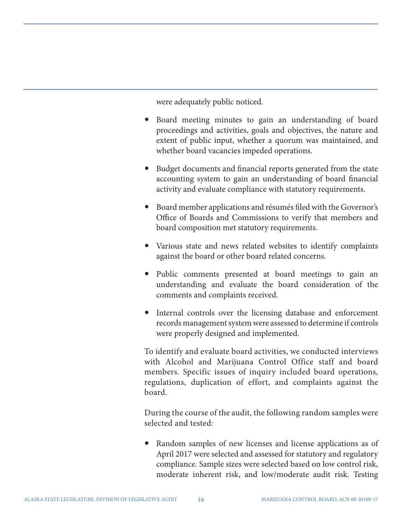were adequately public noticed.

- Board meeting minutes to gain an understanding of board proceedings and activities, goals and objectives, the nature and extent of public input, whether a quorum was maintained, and whether board vacancies impeded operations.
- Budget documents and financial reports generated from the state accounting system to gain an understanding of board financial activity and evaluate compliance with statutory requirements.
- Board member applications and résumés filed with the Governor's Office of Boards and Commissions to verify that members and board composition met statutory requirements.
- Various state and news related websites to identify complaints against the board or other board related concerns.
- Public comments presented at board meetings to gain an understanding and evaluate the board consideration of the comments and complaints received.
- Internal controls over the licensing database and enforcement records management system were assessed to determine if controls were properly designed and implemented.

To identify and evaluate board activities, we conducted interviews with Alcohol and Marijuana Control Office staff and board members. Specific issues of inquiry included board operations, regulations, duplication of effort, and complaints against the board.

During the course of the audit, the following random samples were selected and tested:

 Random samples of new licenses and license applications as of April 2017 were selected and assessed for statutory and regulatory compliance. Sample sizes were selected based on low control risk, moderate inherent risk, and low/moderate audit risk. Testing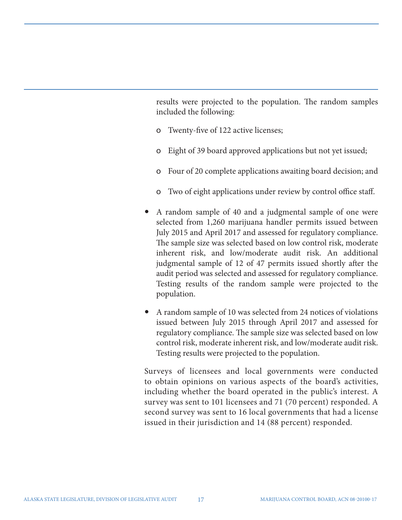results were projected to the population. The random samples included the following:

- o Twenty-five of 122 active licenses;
- o Eight of 39 board approved applications but not yet issued;
- o Four of 20 complete applications awaiting board decision; and
- o Two of eight applications under review by control office staff.
- A random sample of 40 and a judgmental sample of one were selected from 1,260 marijuana handler permits issued between July 2015 and April 2017 and assessed for regulatory compliance. The sample size was selected based on low control risk, moderate inherent risk, and low/moderate audit risk. An additional judgmental sample of 12 of 47 permits issued shortly after the audit period was selected and assessed for regulatory compliance. Testing results of the random sample were projected to the population.
- A random sample of 10 was selected from 24 notices of violations issued between July 2015 through April 2017 and assessed for regulatory compliance. The sample size was selected based on low control risk, moderate inherent risk, and low/moderate audit risk. Testing results were projected to the population.

Surveys of licensees and local governments were conducted to obtain opinions on various aspects of the board's activities, including whether the board operated in the public's interest. A survey was sent to 101 licensees and 71 (70 percent) responded. A second survey was sent to 16 local governments that had a license issued in their jurisdiction and 14 (88 percent) responded.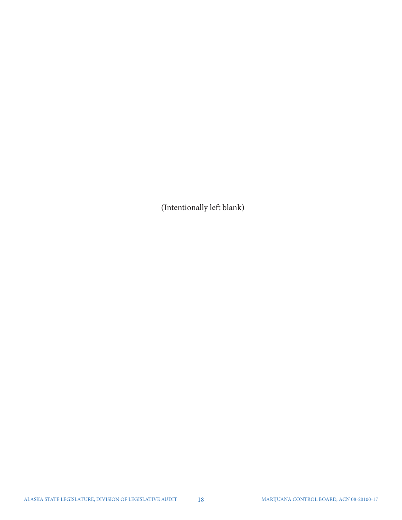(Intentionally left blank)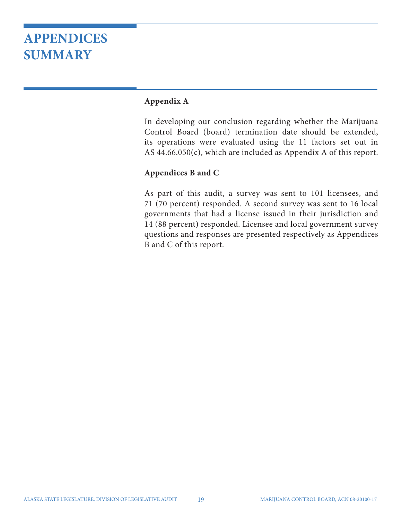# <span id="page-24-0"></span>**APPENDICES SUMMARY**

#### **Appendix A**

In developing our conclusion regarding whether the Marijuana Control Board (board) termination date should be extended, its operations were evaluated using the 11 factors set out in AS 44.66.050(c), which are included as Appendix A of this report.

#### **Appendices B and C**

As part of this audit, a survey was sent to 101 licensees, and 71 (70 percent) responded. A second survey was sent to 16 local governments that had a license issued in their jurisdiction and 14 (88 percent) responded. Licensee and local government survey questions and responses are presented respectively as Appendices B and C of this report.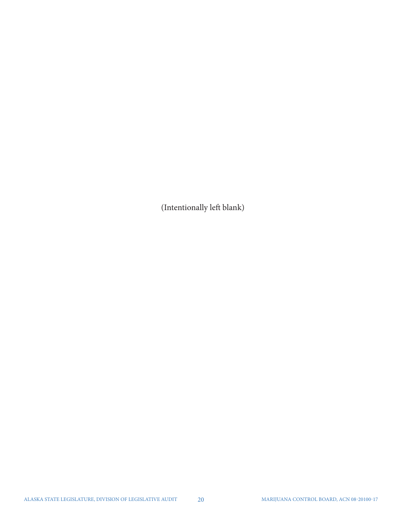(Intentionally left blank)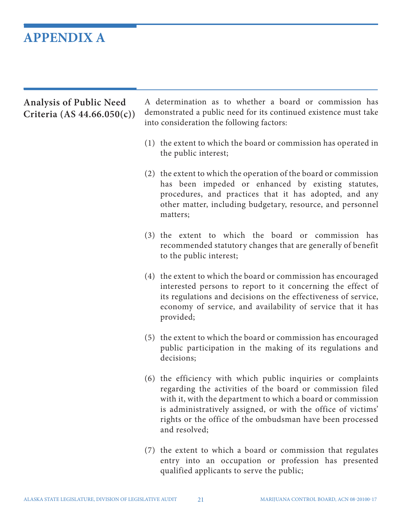### <span id="page-26-0"></span>**APPENDIX A**

| <b>Analysis of Public Need</b><br>Criteria (AS $44.66.050(c)$ ) | A determination as to whether a board or commission has<br>demonstrated a public need for its continued existence must take<br>into consideration the following factors:                                                                                                                                                               |
|-----------------------------------------------------------------|----------------------------------------------------------------------------------------------------------------------------------------------------------------------------------------------------------------------------------------------------------------------------------------------------------------------------------------|
|                                                                 | (1) the extent to which the board or commission has operated in<br>the public interest;                                                                                                                                                                                                                                                |
|                                                                 | (2) the extent to which the operation of the board or commission<br>has been impeded or enhanced by existing statutes,<br>procedures, and practices that it has adopted, and any<br>other matter, including budgetary, resource, and personnel<br>matters;                                                                             |
|                                                                 | (3) the extent to which the board or commission has<br>recommended statutory changes that are generally of benefit<br>to the public interest;                                                                                                                                                                                          |
|                                                                 | (4) the extent to which the board or commission has encouraged<br>interested persons to report to it concerning the effect of<br>its regulations and decisions on the effectiveness of service,<br>economy of service, and availability of service that it has<br>provided;                                                            |
|                                                                 | (5) the extent to which the board or commission has encouraged<br>public participation in the making of its regulations and<br>decisions;                                                                                                                                                                                              |
|                                                                 | (6) the efficiency with which public inquiries or complaints<br>regarding the activities of the board or commission filed<br>with it, with the department to which a board or commission<br>is administratively assigned, or with the office of victims'<br>rights or the office of the ombudsman have been processed<br>and resolved; |

(7) the extent to which a board or commission that regulates entry into an occupation or profession has presented qualified applicants to serve the public;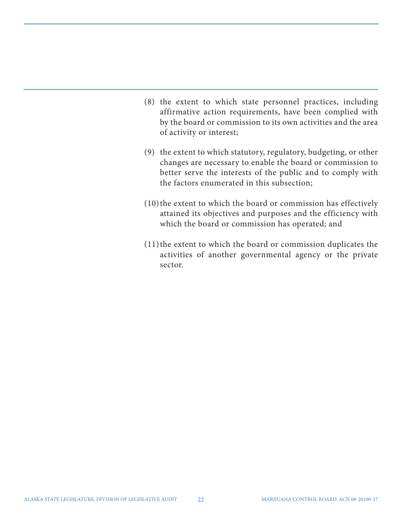- (8) the extent to which state personnel practices, including affirmative action requirements, have been complied with by the board or commission to its own activities and the area of activity or interest;
- (9) the extent to which statutory, regulatory, budgeting, or other changes are necessary to enable the board or commission to better serve the interests of the public and to comply with the factors enumerated in this subsection;
- (10) the extent to which the board or commission has effectively attained its objectives and purposes and the efficiency with which the board or commission has operated; and
- (11) the extent to which the board or commission duplicates the activities of another governmental agency or the private sector.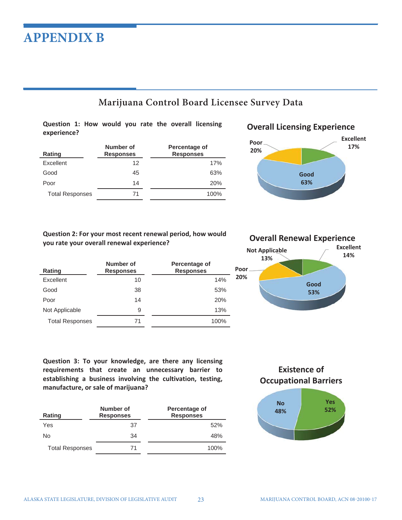### <span id="page-28-0"></span>**APPENDIX B**

### **Marijuana Control Board Licensee Survey Data**

**Question 1: How would you rate the overall licensing experience?**

| Rating                 | Number of<br><b>Responses</b> | Percentage of<br><b>Responses</b> |
|------------------------|-------------------------------|-----------------------------------|
| Excellent              | 12                            | 17%                               |
| Good                   | 45                            | 63%                               |
| Poor                   | 14                            | 20%                               |
| <b>Total Responses</b> | 71                            | 100%                              |

### **Excellent 17% Good 63% Poor 20% Overall Licensing Experience**

**Question 2: For your most recent renewal period, how would you rate your overall renewal experience?**

| Rating                 | Number of<br><b>Responses</b> | Percentage of<br><b>Responses</b> | Po |
|------------------------|-------------------------------|-----------------------------------|----|
| Excellent              | 10                            | 14%                               | 20 |
| Good                   | 38                            | 53%                               |    |
| Poor                   | 14                            | 20%                               |    |
| Not Applicable         | 9                             | 13%                               |    |
| <b>Total Responses</b> | 71                            | 100%                              |    |



**Question 3: To your knowledge, are there any licensing requirements that create an unnecessary barrier to establishing a business involving the cultivation, testing, manufacture, or sale of marijuana?**

| Rating                 | Number of<br><b>Responses</b> | Percentage of<br><b>Responses</b> |
|------------------------|-------------------------------|-----------------------------------|
| Yes                    | 37                            | 52%                               |
| No                     | 34                            | 48%                               |
| <b>Total Responses</b> |                               | 100%                              |

### **Existence of Occupational Barriers**

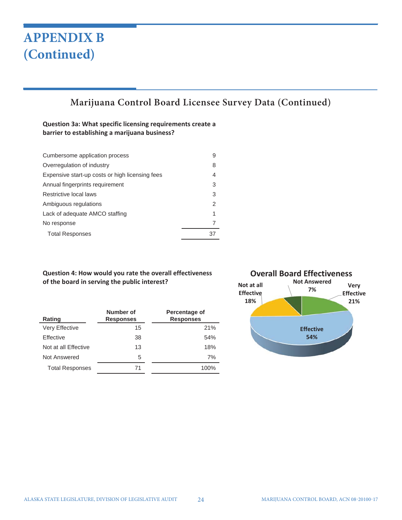### **Marijuana Control Board Licensee Survey Data (Continued)**

#### **Question 3a: What specific licensing requirements create a barrier to establishing a marijuana business?**

| Cumbersome application process                  | 9              |
|-------------------------------------------------|----------------|
| Overregulation of industry                      | 8              |
| Expensive start-up costs or high licensing fees | 4              |
| Annual fingerprints requirement                 | 3              |
| Restrictive local laws                          | 3              |
| Ambiguous regulations                           | 2              |
| Lack of adequate AMCO staffing                  | 1              |
| No response                                     | $\overline{7}$ |
| <b>Total Responses</b>                          | 37             |

#### **Question 4: How would you rate the overall effectiveness of the board in serving the public interest?**

| Rating                 | Number of<br><b>Responses</b> | Percentage of<br><b>Responses</b> |
|------------------------|-------------------------------|-----------------------------------|
| <b>Very Effective</b>  | 15                            | 21%                               |
| Effective              | 38                            | 54%                               |
| Not at all Effective   | 13                            | 18%                               |
| Not Answered           | 5                             | 7%                                |
| <b>Total Responses</b> | 71                            | 100%                              |

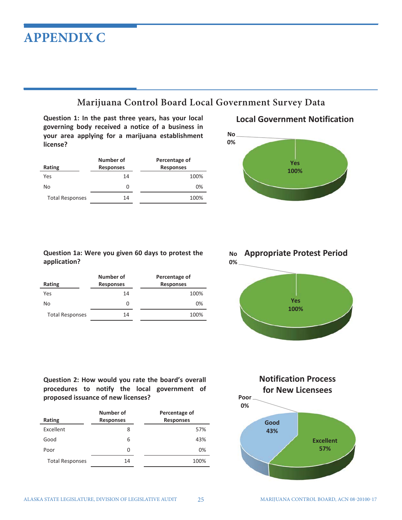## <span id="page-30-0"></span>**APPENDIX C**

### **Marijuana Control Board Local Government Survey Data**

**Question 1: In the past three years, has your local governing body received a notice of a business in your area applying for a marijuana establishment license?**

| Rating                 | Number of<br><b>Responses</b> | Percentage of<br><b>Responses</b> |
|------------------------|-------------------------------|-----------------------------------|
| Yes                    | 14                            | 100%                              |
| No                     | 0                             | 0%                                |
| <b>Total Responses</b> | 14                            | 100%                              |

**Local Government Notification**



#### **Question 1a: Were you given 60 days to protest the application?**

| Rating                 | Number of<br><b>Responses</b> | Percentage of<br><b>Responses</b> |
|------------------------|-------------------------------|-----------------------------------|
| Yes                    | 14                            | 100%                              |
| No                     | 0                             | 0%                                |
| <b>Total Responses</b> | 14                            | 100%                              |



**Question 2: How would you rate the board's overall procedures to notify the local government of proposed issuance of new licenses?**

| Rating                 | Number of<br><b>Responses</b> | Percentage of<br><b>Responses</b> |
|------------------------|-------------------------------|-----------------------------------|
| Excellent              | 8                             | 57%                               |
| Good                   | 6                             | 43%                               |
| Poor                   | 0                             | 0%                                |
| <b>Total Responses</b> | 14                            | 100%                              |

#### **Notification Process for New Licensees**

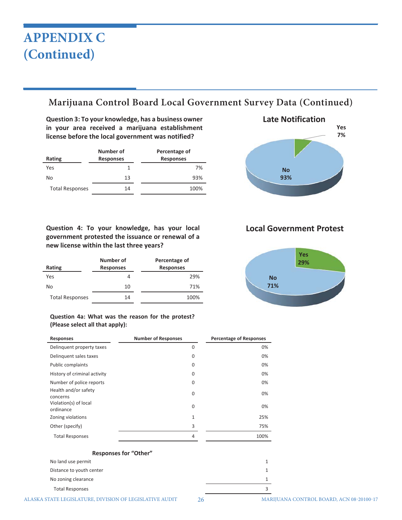### **Marijuana Control Board Local Government Survey Data (Continued)**

**Question 3: To your knowledge, has a business owner in your area received a marijuana establishment license before the local government was notified?**

|                        | Number of        | Percentage of    |
|------------------------|------------------|------------------|
| Rating                 | <b>Responses</b> | <b>Responses</b> |
| Yes                    |                  | 7%               |
| No                     | 13               | 93%              |
| <b>Total Responses</b> | 14               | 100%             |

**Question 4: To your knowledge, has your local government protested the issuance or renewal of a new license within the last three years?**

| Rating                 | Number of<br><b>Responses</b> | Percentage of<br><b>Responses</b> |
|------------------------|-------------------------------|-----------------------------------|
| Yes                    |                               | 29%                               |
| No                     | 10                            | 71%                               |
| <b>Total Responses</b> | 14                            | 100%                              |

#### **Question 4a: What was the reason for the protest? (Please select all that apply):**

**Responses Number of Responses Percentage of Responses** Delinquent property taxes and the control of the control of the control of the control of the control of the control of the control of the control of the control of the control of the control of the control of the control Delinquent sales taxes 0 0% Public complaints and the complaints of the complaints of the complaints of the complaints of the complaints of the complaints of the complaints of the complaints of the complaints of the complaints of the complaints of th History of criminal activity and the control of the control of the control of the control of the control of the control of the control of the control of the control of the control of the control of the control of the contr Number of police reports and the control of the control of the control of the control of the control of the control of the control of the control of the control of the control of the control of the control of the control o Health and/or safety concerns <sup>0</sup> 0% Violation(s) of local ordinance 0 0% Zoning violations 1 25% Other (specify) 3 75% Total Responses 100% and the set of the set of the set of the set of the set of the set of the set of the set of the set of the set of the set of the set of the set of the set of the set of the set of the set of the set of **Responses for "Other"** No land use permit 1

### Distance to youth center 1 and 2 and 2 and 2 and 2 and 2 and 2 and 2 and 2 and 2 and 2 and 2 and 2 and 2 and 2 and 2 and 2 and 2 and 2 and 2 and 2 and 2 and 2 and 2 and 2 and 2 and 2 and 2 and 2 and 2 and 2 and 2 and 2 and No zoning clearance and the set of the set of the set of the set of the set of the set of the set of the set of the set of the set of the set of the set of the set of the set of the set of the set of the set of the set of Total Responses 3



#### **Local Government Protest**

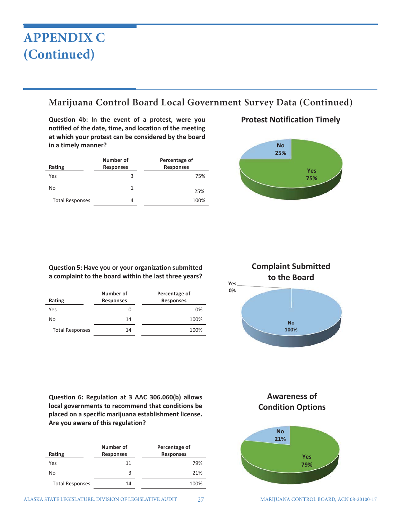### **Marijuana Control Board Local Government Survey Data (Continued)**

**Question 4b: In the event of a protest, were you notified of the date, time, and location of the meeting at which your protest can be considered by the board in a timely manner?**

| Rating                 | Number of<br><b>Responses</b> | Percentage of<br><b>Responses</b> |
|------------------------|-------------------------------|-----------------------------------|
| Yes                    |                               | 75%                               |
| No                     |                               | 25%                               |
| <b>Total Responses</b> |                               | 100%                              |

#### **Protest Notification Timely**



**Question 5: Have you or your organization submitted <sup>a</sup> complaint to the board within the last three years?**

| Rating                 | Number of<br><b>Responses</b> | Percentage of<br><b>Responses</b> |
|------------------------|-------------------------------|-----------------------------------|
| Yes                    | O                             | 0%                                |
| No                     | 14                            | 100%                              |
| <b>Total Responses</b> | 14                            | 100%                              |



**Question 6: Regulation at 3 AAC 306.060(b) allows local governments to recommend that conditions be placed on a specific marijuana establishment license. Are you aware of this regulation?**

| Rating                 | Number of<br><b>Responses</b> | Percentage of<br><b>Responses</b> |
|------------------------|-------------------------------|-----------------------------------|
| Yes                    | 11                            | 79%                               |
| No                     | ς                             | 21%                               |
| <b>Total Responses</b> | 14                            | 100%                              |

**Awareness of Condition Options**

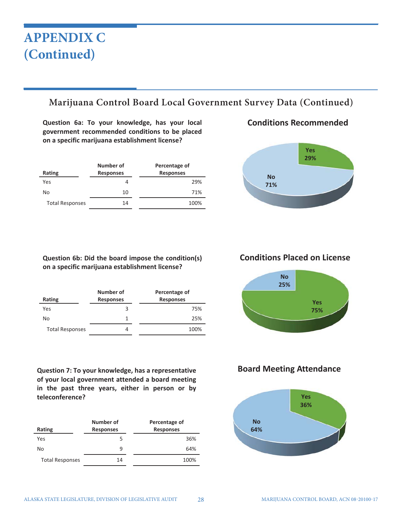### **Marijuana Control Board Local Government Survey Data (Continued)**

**Question 6a: To your knowledge, has your local government recommended conditions to be placed on a specific marijuana establishment license?**

| Rating                 | Number of<br><b>Responses</b> | Percentage of<br><b>Responses</b> |
|------------------------|-------------------------------|-----------------------------------|
| Yes                    |                               | 29%                               |
| No                     | 10                            | 71%                               |
| <b>Total Responses</b> | 14                            | 100%                              |

#### **Conditions Recommended**



#### **Question 6b: Did the board impose the condition(s) on a specific marijuana establishment license?**

| Rating                 | Number of<br><b>Responses</b> | Percentage of<br><b>Responses</b> |
|------------------------|-------------------------------|-----------------------------------|
| Yes                    |                               | 75%                               |
| No.                    |                               | 25%                               |
| <b>Total Responses</b> |                               | 100%                              |

**Question 7: To your knowledge, has a representative of your local government attended a board meeting in the past three years, either in person or by teleconference?**

| Rating                 | Number of<br><b>Responses</b> | Percentage of<br><b>Responses</b> |
|------------------------|-------------------------------|-----------------------------------|
| Yes                    |                               | 36%                               |
| No                     | q                             | 64%                               |
| <b>Total Responses</b> | 14                            | 100%                              |

#### **Conditions Placed on License**



### **Board Meeting Attendance**

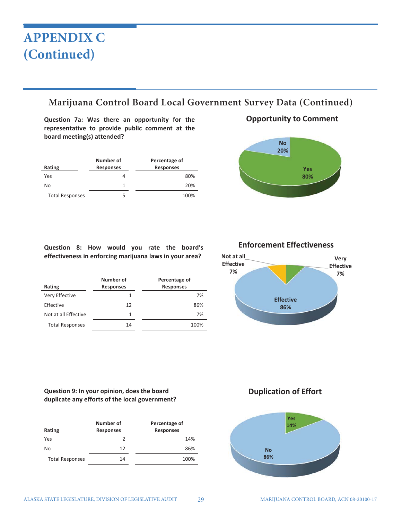### **Marijuana Control Board Local Government Survey Data (Continued)**

**Question 7a: Was there an opportunity for the representative to provide public comment at the board meeting(s) attended?**

| Rating                 | Number of<br><b>Responses</b> | Percentage of<br><b>Responses</b> |
|------------------------|-------------------------------|-----------------------------------|
| Yes                    | 4                             | 80%                               |
| No                     |                               | 20%                               |
| <b>Total Responses</b> |                               | 100%                              |

#### **Opportunity to Comment**



**Question 8: How would you rate the board's effectiveness in enforcing marijuana laws in your area?**

| Rating                 | Number of<br><b>Responses</b> | Percentage of<br><b>Responses</b> |
|------------------------|-------------------------------|-----------------------------------|
| Very Effective         | 1                             | 7%                                |
| Effective              | 12                            | 86%                               |
| Not at all Effective   | 1                             | 7%                                |
| <b>Total Responses</b> | 14                            | 100%                              |

**Enforcement Effectiveness**



#### **Question 9: In your opinion, does the board duplicate any efforts of the local government?**

| Rating                 | Number of<br><b>Responses</b> | Percentage of<br><b>Responses</b> |
|------------------------|-------------------------------|-----------------------------------|
| Yes                    |                               | 14%                               |
| No                     | 12                            | 86%                               |
| <b>Total Responses</b> | 14                            | 100%                              |

#### **Duplication of Effort**

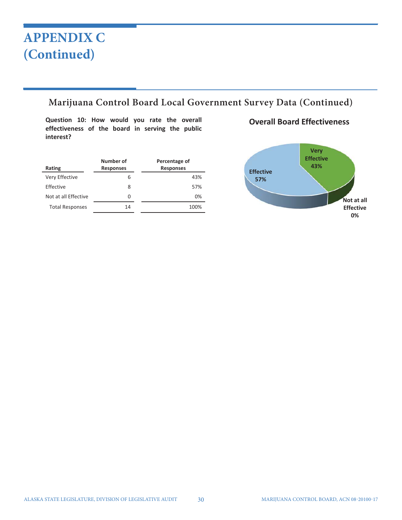### **Marijuana Control Board Local Government Survey Data (Continued)**

**Question 10: How would you rate the overall effectiveness of the board in serving the public interest?**

| Rating                 | Number of<br><b>Responses</b> | Percentage of<br><b>Responses</b> |
|------------------------|-------------------------------|-----------------------------------|
| Very Effective         | 6                             | 43%                               |
| Effective              | 8                             | 57%                               |
| Not at all Effective   | 0                             | 0%                                |
| <b>Total Responses</b> | 14                            | 100%                              |
|                        |                               |                                   |

### **Overall Board Effectiveness**

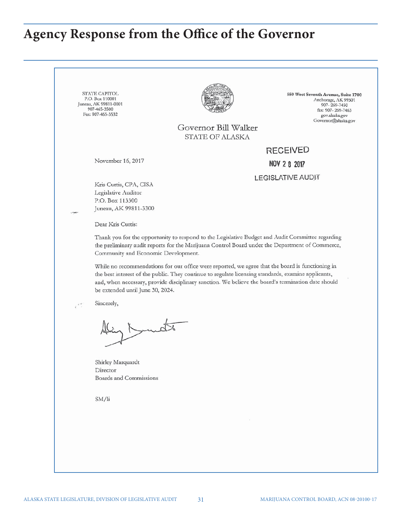### <span id="page-36-0"></span>**Agency Response from the Office of the Governor**

STATE CAPITOL 550 West Seventh Avenue, Suite 1700 P.O. Box 110001 Anchorage, AK 99501<br>907-269-7450<br>fax: 907-269-7463 Juneau, AK 99811-0001 907-465-3500 Fax: 907-465-3532 gov.alaska.gov Governor@alaska.gov Governor Bill Walker **STATE OF ALASKA RECEIVED** November 16, 2017 NOV 2 8 2017 **LEGISLATIVE AUDIT** Kris Curtis, CPA, CISA Legislative Auditor P.O. Box 113300 Juneau, AK 99811-3300  $-$  10 and Dear Kris Curtis: Thank you for the opportunity to respond to the Legislative Budget and Audit Committee regarding the preliminary audit reports for the Marijuana Control Board under the Department of Commerce, Community and Economic Development. While no recommendations for our office were reported, we agree that the board is functioning in the best interest of the public. They continue to regulate licensing standards, examine applicants, and, when necessary, provide disciplinary sanction. We believe the board's termination date should be extended until June 30, 2024. Sincerely, metr Shirley Marquardt Director **Boards and Commissions**  $SM/li$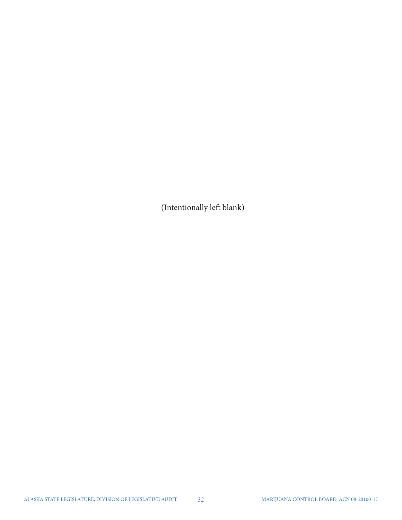(Intentionally left blank)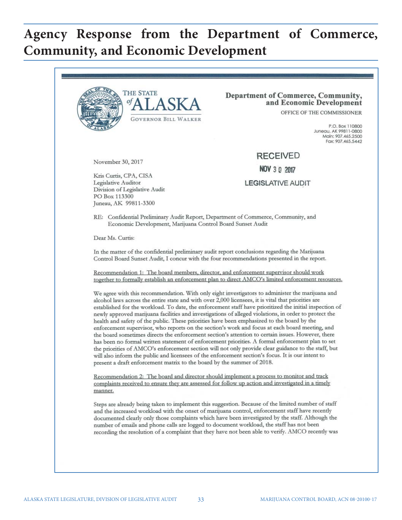# <span id="page-38-0"></span>**Agency Response from the Department of Commerce, Community, and Economic Development**

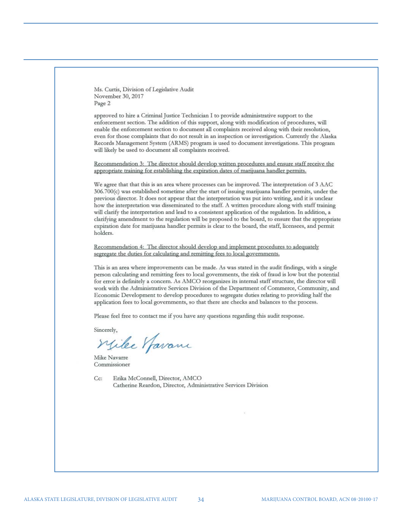Ms. Curtis, Division of Legislative Audit November 30, 2017 Page 2

approved to hire a Criminal Justice Technician I to provide administrative support to the enforcement section. The addition of this support, along with modification of procedures, will enable the enforcement section to document all complaints received along with their resolution, even for those complaints that do not result in an inspection or investigation. Currently the Alaska Records Management System (ARMS) program is used to document investigations. This program will likely be used to document all complaints received.

Recommendation 3: The director should develop written procedures and ensure staff receive the appropriate training for establishing the expiration dates of marijuana handler permits.

We agree that that this is an area where processes can be improved. The interpretation of 3 AAC 306.700(c) was established sometime after the start of issuing marijuana handler permits, under the previous director. It does not appear that the interpretation was put into writing, and it is unclear how the interpretation was disseminated to the staff. A written procedure along with staff training will clarify the interpretation and lead to a consistent application of the regulation. In addition, a clarifying amendment to the regulation will be proposed to the board, to ensure that the appropriate expiration date for marijuana handler permits is clear to the board, the staff, licensees, and permit holders.

Recommendation 4: The director should develop and implement procedures to adequately segregate the duties for calculating and remitting fees to local governments.

This is an area where improvements can be made. As was stated in the audit findings, with a single person calculating and remitting fees to local governments, the risk of fraud is low but the potential for error is definitely a concern. As AMCO reorganizes its internal staff structure, the director will work with the Administrative Services Division of the Department of Commerce, Community, and Economic Development to develop procedures to segregate duties relating to providing half the application fees to local governments, so that there are checks and balances to the process.

Please feel free to contact me if you have any questions regarding this audit response.

Sincerely,

Mike Navane

Mike Navarre Commissioner

Erika McConnell, Director, AMCO Cc: Catherine Reardon, Director, Administrative Services Division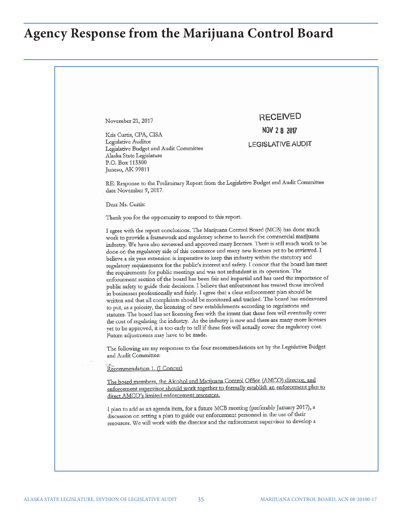### <span id="page-40-0"></span>**Agency Response from the Marijuana Control Board**



Kris Curtis, CPA, CISA Legislative Auditor Legislative Budget and Audit Committee Alaska State Legislature P.O. Box 113300 Juneau, AK 99811

**RECEIVED** NOV 2 8 2017 **LEGISLATIVE AUDIT** 

RE: Response to the Preliminary Report from the Legislative Budget and Audit Committee date November 9, 2017.

Dear Ms. Curtis:

Thank you for the opportunity to respond to this report.

I agree with the report conclusions. The Marijuana Control Board (MCB) has done much work to provide a framework and regulatory scheme to launch the commercial marijuana industry. We have also reviewed and approved many licenses. There is still much work to be done on the regulatory side of this commerce and many new licenses yet to be reviewed. I believe a six year extension is imperative to keep this industry within the statutory and regulatory requirements for the public's interest and safety. I concur that the board has meet the requirements for public meetings and was not redundant in its operation. The enforcement section of the board has been fair and impartial and has used the importance of public safety to guide their decisions. I believe that enforcement has treated those involved in businesses professionally and fairly. I agree that a clear enforcement plan should be written and that all complaints should be monitored and tracked. The board has endeavored to put, as a priority, the licensing of new establishments according to regulations and statutes. The board has set licensing fees with the intent that these fees will eventually cover the cost of regulating the industry. As the industry is new and there are many more licenses yet to be approved, it is too early to tell if these fees will actually cover the regulatory cost. Future adjustments may have to be made.

The following are my responses to the four recommendations set by the Legislative Budget and Audit Committee:

Recommendation 1. (I Concur)

The board members, the Alcohol and Marijuana Control Office (AMCO) director, and enforcement supervisor should work together to formally establish an enforcement plan to direct AMCO's limited enforcement resources.

I plan to add as an agenda item, for a future MCB meeting (preferably January 2017), a discussion on setting a plan to guide our enforcement personnel in the use of their resources. We will work with the director and the enforcement supervisor to develop a